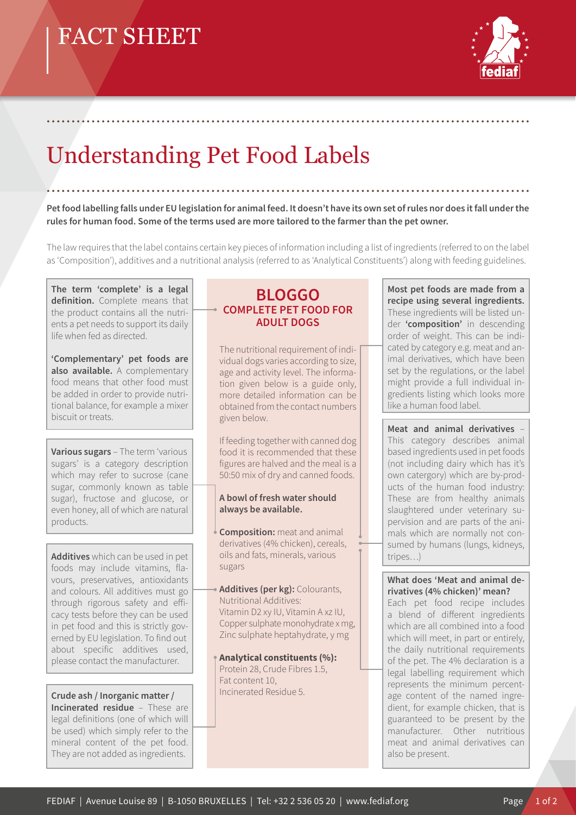# FACT SHEET



# Understanding Pet Food Labels

**Pet food labelling falls under EU legislation for animal feed. It doesn't have its own set of rules nor does it fall under the rules for human food. Some of the terms used are more tailored to the farmer than the pet owner.**

.................................................................................................

.................................................................................................

The law requires that the label contains certain key pieces of information including a list of ingredients (referred to on the label as 'Composition'), additives and a nutritional analysis (referred to as 'Analytical Constituents') along with feeding guidelines.

**The term 'complete' is a legal definition.** Complete means that the product contains all the nutrients a pet needs to support its daily life when fed as directed.

**'Complementary' pet foods are also available.** A complementary food means that other food must be added in order to provide nutritional balance, for example a mixer biscuit or treats.

**Various sugars** – The term 'various sugars' is a category description which may refer to sucrose (cane sugar, commonly known as table sugar), fructose and glucose, or even honey, all of which are natural products.

**Additives** which can be used in pet foods may include vitamins, flavours, preservatives, antioxidants and colours. All additives must go through rigorous safety and efficacy tests before they can be used in pet food and this is strictly governed by EU legislation. To find out about specific additives used, please contact the manufacturer.

### **Crude ash / Inorganic matter /**

**Incinerated residue** – These are legal definitions (one of which will be used) which simply refer to the mineral content of the pet food. They are not added as ingredients.

### **BLOGGO COMPLETE PET FOOD FOR ADULT DOGS**

The nutritional requirement of individual dogs varies according to size, age and activity level. The information given below is a guide only, more detailed information can be obtained from the contact numbers given below.

If feeding together with canned dog food it is recommended that these figures are halved and the meal is a 50:50 mix of dry and canned foods.

#### **A bowl of fresh water should always be available.**

**Composition:** meat and animal derivatives (4% chicken), cereals, oils and fats, minerals, various sugars

**Additives (per kg):** Colourants, Nutritional Additives: Vitamin D2 xy IU, Vitamin A xz IU, Copper sulphate monohydrate x mg, Zinc sulphate heptahydrate, y mg

**Analytical constituents (%):** Protein 28, Crude Fibres 1.5, Fat content 10, Incinerated Residue 5.

**Most pet foods are made from a recipe using several ingredients.** These ingredients will be listed under **'composition'** in descending order of weight. This can be indicated by category e.g. meat and animal derivatives, which have been set by the regulations, or the label might provide a full individual ingredients listing which looks more like a human food label.

**Meat and animal derivatives** – This category describes animal based ingredients used in pet foods (not including dairy which has it's own catergory) which are by-products of the human food industry: These are from healthy animals slaughtered under veterinary supervision and are parts of the animals which are normally not consumed by humans (lungs, kidneys, tripes…)

#### **What does 'Meat and animal derivatives (4% chicken)' mean?**

Each pet food recipe includes a blend of different ingredients which are all combined into a food which will meet, in part or entirely, the daily nutritional requirements of the pet. The 4% declaration is a legal labelling requirement which represents the minimum percentage content of the named ingredient, for example chicken, that is guaranteed to be present by the manufacturer. Other nutritious meat and animal derivatives can also be present.